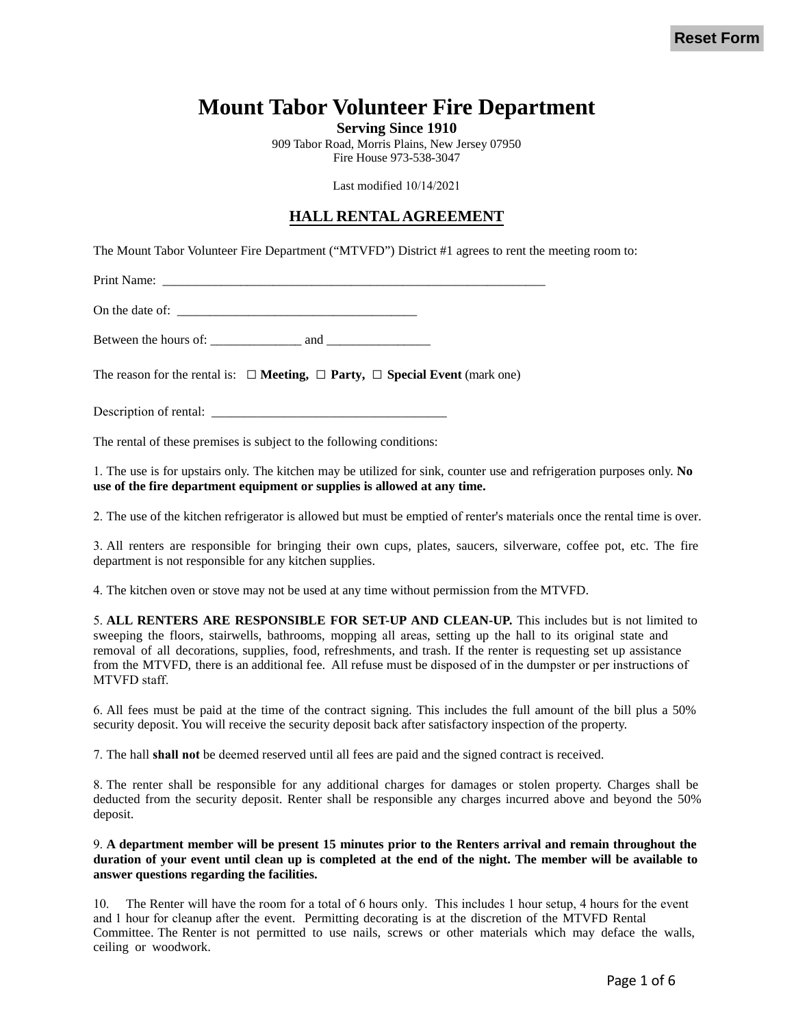# **Mount Tabor Volunteer Fire Department**

**Serving Since 1910** 

909 Tabor Road, Morris Plains, New Jersey 07950 Fire House 973-538-3047

Last modified 10/14/2021

#### **HALL RENTAL AGREEMENT**

The Mount Tabor Volunteer Fire Department ("MTVFD") District #1 agrees to rent the meeting room to:

Print Name:

On the date of:

Between the hours of: \_\_\_\_\_\_\_\_\_\_\_\_\_\_ and \_\_\_\_\_\_\_\_\_\_\_\_\_\_\_\_

The reason for the rental is:  $\Box$  **Meeting,**  $\Box$  **Party,**  $\Box$  **Special Event** (mark one)

Description of rental: \_\_\_\_\_\_\_\_\_\_\_\_\_\_\_\_\_\_\_\_\_\_\_\_\_\_\_\_\_\_\_\_\_\_\_\_

The rental of these premises is subject to the following conditions:

1. The use is for upstairs only. The kitchen may be utilized for sink, counter use and refrigeration purposes only. **No use of the fire department equipment or supplies is allowed at any time.**

2. The use of the kitchen refrigerator is allowed but must be emptied of renter's materials once the rental time is over.

3. All renters are responsible for bringing their own cups, plates, saucers, silverware, coffee pot, etc. The fire department is not responsible for any kitchen supplies.

4. The kitchen oven or stove may not be used at any time without permission from the MTVFD.

5. **ALL RENTERS ARE RESPONSIBLE FOR SET-UP AND CLEAN-UP.** This includes but is not limited to sweeping the floors, stairwells, bathrooms, mopping all areas, setting up the hall to its original state and removal of all decorations, supplies, food, refreshments, and trash. If the renter is requesting set up assistance from the MTVFD, there is an additional fee. All refuse must be disposed of in the dumpster or per instructions of MTVFD staff.

6. All fees must be paid at the time of the contract signing. This includes the full amount of the bill plus a 50% security deposit. You will receive the security deposit back after satisfactory inspection of the property.

7. The hall **shall not** be deemed reserved until all fees are paid and the signed contract is received.

8. The renter shall be responsible for any additional charges for damages or stolen property. Charges shall be deducted from the security deposit. Renter shall be responsible any charges incurred above and beyond the 50% deposit.

#### 9. **A department member will be present 15 minutes prior to the Renters arrival and remain throughout the duration of your event until clean up is completed at the end of the night. The member will be available to answer questions regarding the facilities.**

10. The Renter will have the room for a total of 6 hours only. This includes 1 hour setup, 4 hours for the event and 1 hour for cleanup after the event. Permitting decorating is at the discretion of the MTVFD Rental Committee. The Renter is not permitted to use nails, screws or other materials which may deface the walls, ceiling or woodwork.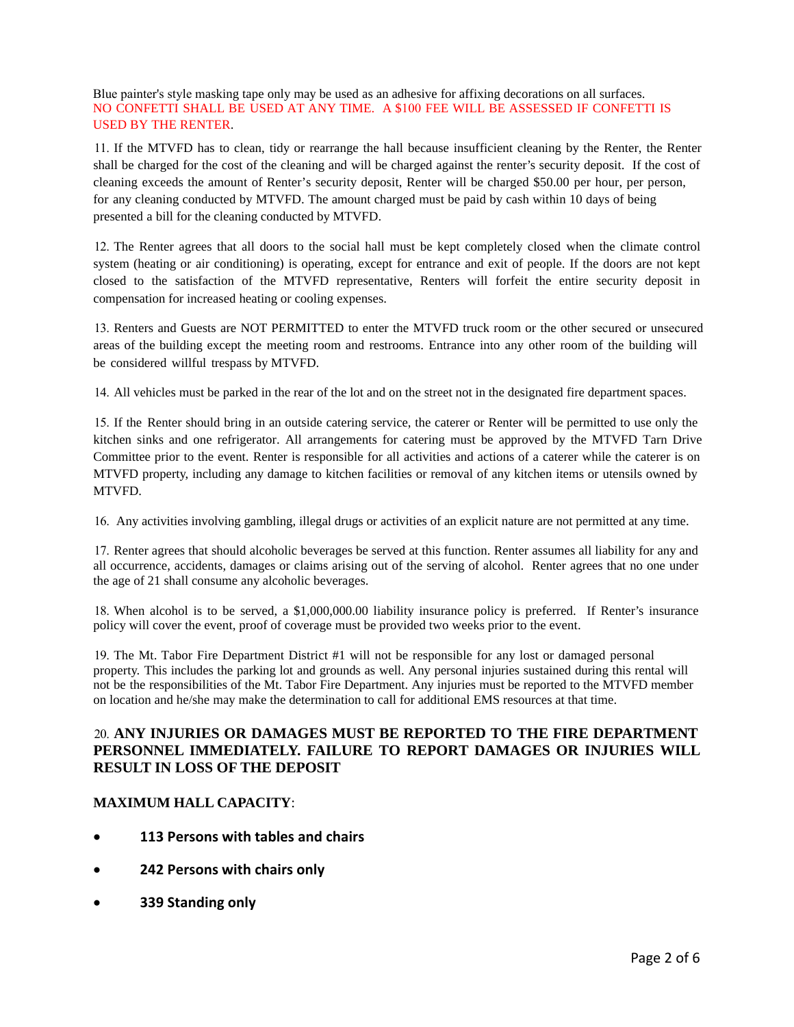Blue painter's style masking tape only may be used as an adhesive for affixing decorations on all surfaces. NO CONFETTI SHALL BE USED AT ANY TIME. A \$100 FEE WILL BE ASSESSED IF CONFETTI IS USED BY THE RENTER.

11. If the MTVFD has to clean, tidy or rearrange the hall because insufficient cleaning by the Renter, the Renter shall be charged for the cost of the cleaning and will be charged against the renter's security deposit. If the cost of cleaning exceeds the amount of Renter's security deposit, Renter will be charged \$50.00 per hour, per person, for any cleaning conducted by MTVFD. The amount charged must be paid by cash within 10 days of being presented a bill for the cleaning conducted by MTVFD.

12. The Renter agrees that all doors to the social hall must be kept completely closed when the climate control system (heating or air conditioning) is operating, except for entrance and exit of people. If the doors are not kept closed to the satisfaction of the MTVFD representative, Renters will forfeit the entire security deposit in compensation for increased heating or cooling expenses.

13. Renters and Guests are NOT PERMITTED to enter the MTVFD truck room or the other secured or unsecured areas of the building except the meeting room and restrooms. Entrance into any other room of the building will be considered willful trespass by MTVFD.

14. All vehicles must be parked in the rear of the lot and on the street not in the designated fire department spaces.

15. If the Renter should bring in an outside catering service, the caterer or Renter will be permitted to use only the kitchen sinks and one refrigerator. All arrangements for catering must be approved by the MTVFD Tarn Drive Committee prior to the event. Renter is responsible for all activities and actions of a caterer while the caterer is on MTVFD property, including any damage to kitchen facilities or removal of any kitchen items or utensils owned by MTVFD.

16. Any activities involving gambling, illegal drugs or activities of an explicit nature are not permitted at any time.

17. Renter agrees that should alcoholic beverages be served at this function. Renter assumes all liability for any and all occurrence, accidents, damages or claims arising out of the serving of alcohol. Renter agrees that no one under the age of 21 shall consume any alcoholic beverages.

18. When alcohol is to be served, a \$1,000,000.00 liability insurance policy is preferred. If Renter's insurance policy will cover the event, proof of coverage must be provided two weeks prior to the event.

19. The Mt. Tabor Fire Department District #1 will not be responsible for any lost or damaged personal property. This includes the parking lot and grounds as well. Any personal injuries sustained during this rental will not be the responsibilities of the Mt. Tabor Fire Department. Any injuries must be reported to the MTVFD member on location and he/she may make the determination to call for additional EMS resources at that time.

#### 20. **ANY INJURIES OR DAMAGES MUST BE REPORTED TO THE FIRE DEPARTMENT PERSONNEL IMMEDIATELY. FAILURE TO REPORT DAMAGES OR INJURIES WILL RESULT IN LOSS OF THE DEPOSIT**

#### **MAXIMUM HALL CAPACITY**:

- **113 Persons with tables and chairs**
- **242 Persons with chairs only**
- **339 Standing only**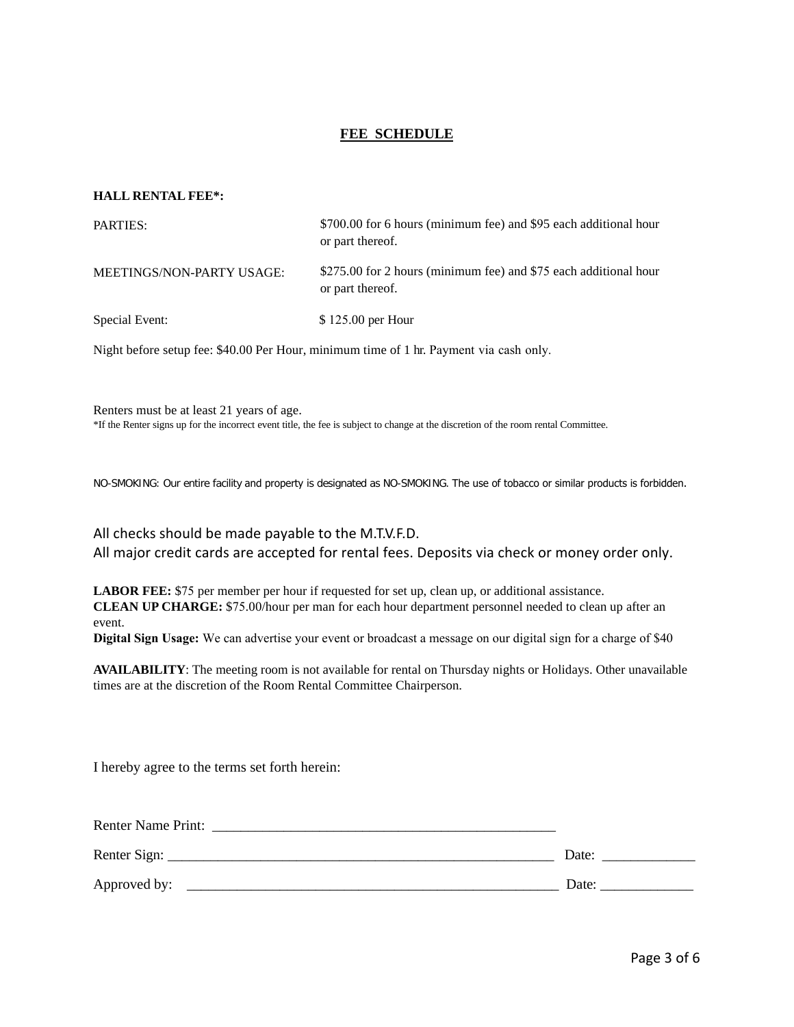#### **FEE SCHEDULE**

#### **HALL RENTAL FEE\*:**

| PARTIES:                  | \$700.00 for 6 hours (minimum fee) and \$95 each additional hour<br>or part thereof. |
|---------------------------|--------------------------------------------------------------------------------------|
| MEETINGS/NON-PARTY USAGE: | \$275.00 for 2 hours (minimum fee) and \$75 each additional hour<br>or part thereof. |
| Special Event:            | \$125.00 per Hour                                                                    |

Night before setup fee: \$40.00 Per Hour, minimum time of 1 hr. Payment via cash only.

Renters must be at least 21 years of age. \*If the Renter signs up for the incorrect event title, the fee is subject to change at the discretion of the room rental Committee.

NO-SMOKING: Our entire facility and property is designated as NO-SMOKING. The use of tobacco or similar products is forbidden.

All checks should be made payable to the M.T.V.F.D. All major credit cards are accepted for rental fees. Deposits via check or money order only.

**LABOR FEE:** \$75 per member per hour if requested for set up, clean up, or additional assistance. **CLEAN UP CHARGE:** \$75.00/hour per man for each hour department personnel needed to clean up after an event.

**Digital Sign Usage:** We can advertise your event or broadcast a message on our digital sign for a charge of \$40

**AVAILABILITY**: The meeting room is not available for rental on Thursday nights or Holidays. Other unavailable times are at the discretion of the Room Rental Committee Chairperson.

I hereby agree to the terms set forth herein:

| <b>Renter Name Print:</b> |       |
|---------------------------|-------|
| Renter Sign:              | Date: |
| Approved by:              | Date: |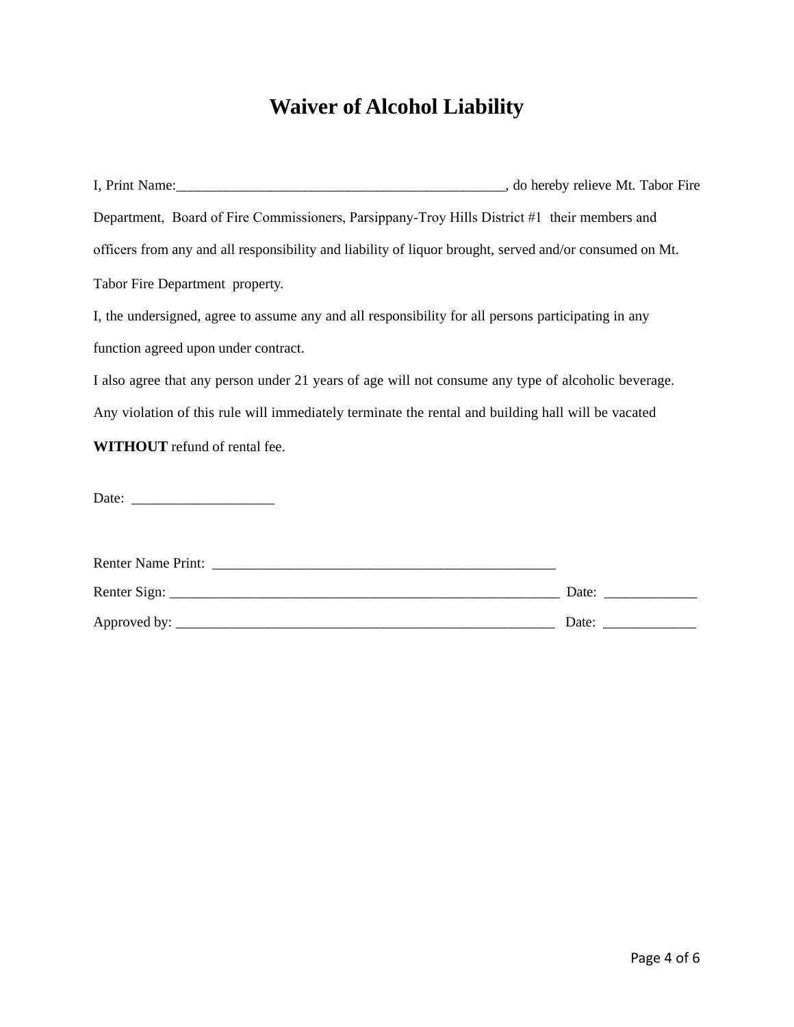# **Waiver of Alcohol Liability**

| Department, Board of Fire Commissioners, Parsippany-Troy Hills District #1 their members and                                                                                                                                   |  |
|--------------------------------------------------------------------------------------------------------------------------------------------------------------------------------------------------------------------------------|--|
| officers from any and all responsibility and liability of liquor brought, served and/or consumed on Mt.                                                                                                                        |  |
| Tabor Fire Department property.                                                                                                                                                                                                |  |
| I, the undersigned, agree to assume any and all responsibility for all persons participating in any                                                                                                                            |  |
| function agreed upon under contract.                                                                                                                                                                                           |  |
| I also agree that any person under 21 years of age will not consume any type of alcoholic beverage.                                                                                                                            |  |
| Any violation of this rule will immediately terminate the rental and building hall will be vacated                                                                                                                             |  |
| <b>WITHOUT</b> refund of rental fee.                                                                                                                                                                                           |  |
| Date: the contract of the contract of the contract of the contract of the contract of the contract of the contract of the contract of the contract of the contract of the contract of the contract of the contract of the cont |  |

| <b>Renter Name Print:</b> |       |
|---------------------------|-------|
| Renter Sign:              | Date: |
| Approved by:              | Date: |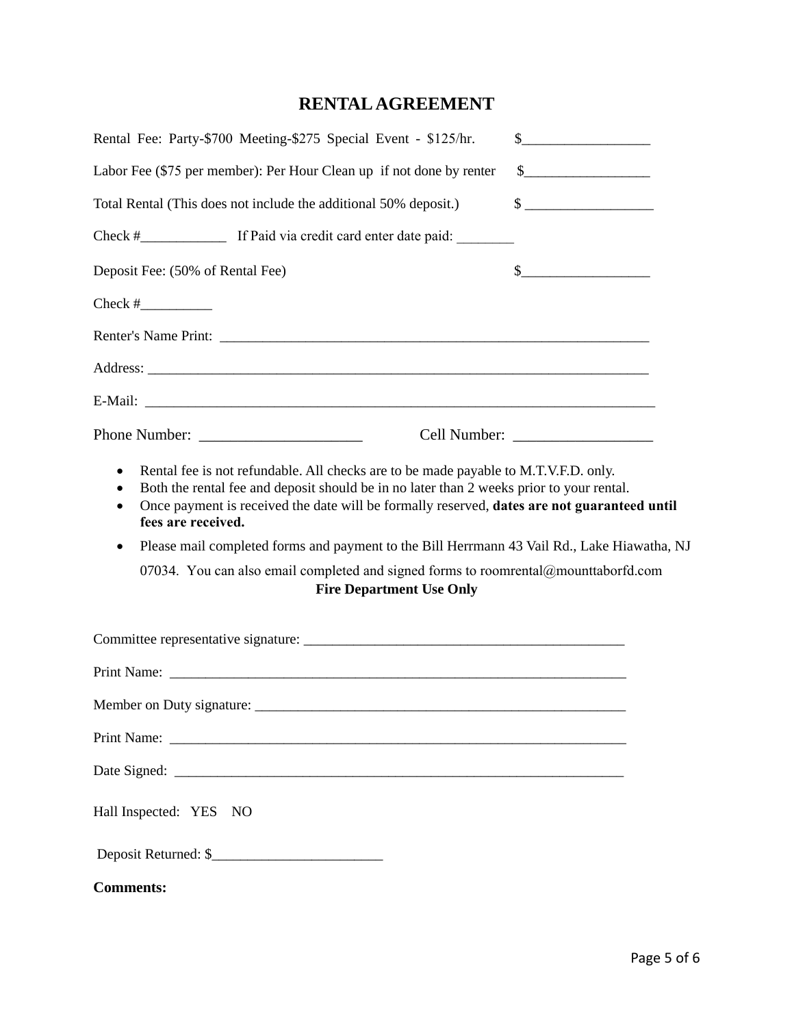## **RENTAL AGREEMENT**

|                                                                                                                                          | Rental Fee: Party-\$700 Meeting-\$275 Special Event - \$125/hr.                                                                                                                                                                                                                                                                                                                                                                                                                                         | $\begin{picture}(20,10) \put(0,0){\vector(1,0){100}} \put(15,0){\vector(1,0){100}} \put(15,0){\vector(1,0){100}} \put(15,0){\vector(1,0){100}} \put(15,0){\vector(1,0){100}} \put(15,0){\vector(1,0){100}} \put(15,0){\vector(1,0){100}} \put(15,0){\vector(1,0){100}} \put(15,0){\vector(1,0){100}} \put(15,0){\vector(1,0){100}} \put(15,0){\vector(1,0){100}} \$ |  |
|------------------------------------------------------------------------------------------------------------------------------------------|---------------------------------------------------------------------------------------------------------------------------------------------------------------------------------------------------------------------------------------------------------------------------------------------------------------------------------------------------------------------------------------------------------------------------------------------------------------------------------------------------------|---------------------------------------------------------------------------------------------------------------------------------------------------------------------------------------------------------------------------------------------------------------------------------------------------------------------------------------------------------------------|--|
| Labor Fee (\$75 per member): Per Hour Clean up if not done by renter<br>Total Rental (This does not include the additional 50% deposit.) |                                                                                                                                                                                                                                                                                                                                                                                                                                                                                                         | $\frac{1}{2}$                                                                                                                                                                                                                                                                                                                                                       |  |
|                                                                                                                                          |                                                                                                                                                                                                                                                                                                                                                                                                                                                                                                         |                                                                                                                                                                                                                                                                                                                                                                     |  |
|                                                                                                                                          |                                                                                                                                                                                                                                                                                                                                                                                                                                                                                                         |                                                                                                                                                                                                                                                                                                                                                                     |  |
| Deposit Fee: (50% of Rental Fee)                                                                                                         |                                                                                                                                                                                                                                                                                                                                                                                                                                                                                                         | $\frac{1}{2}$                                                                                                                                                                                                                                                                                                                                                       |  |
|                                                                                                                                          |                                                                                                                                                                                                                                                                                                                                                                                                                                                                                                         |                                                                                                                                                                                                                                                                                                                                                                     |  |
|                                                                                                                                          |                                                                                                                                                                                                                                                                                                                                                                                                                                                                                                         |                                                                                                                                                                                                                                                                                                                                                                     |  |
|                                                                                                                                          |                                                                                                                                                                                                                                                                                                                                                                                                                                                                                                         |                                                                                                                                                                                                                                                                                                                                                                     |  |
|                                                                                                                                          |                                                                                                                                                                                                                                                                                                                                                                                                                                                                                                         |                                                                                                                                                                                                                                                                                                                                                                     |  |
|                                                                                                                                          | Phone Number:                                                                                                                                                                                                                                                                                                                                                                                                                                                                                           |                                                                                                                                                                                                                                                                                                                                                                     |  |
| $\bullet$<br>$\bullet$<br>$\bullet$<br>fees are received.<br>٠                                                                           | Rental fee is not refundable. All checks are to be made payable to M.T.V.F.D. only.<br>Both the rental fee and deposit should be in no later than 2 weeks prior to your rental.<br>Once payment is received the date will be formally reserved, dates are not guaranteed until<br>Please mail completed forms and payment to the Bill Herrmann 43 Vail Rd., Lake Hiawatha, NJ<br>07034. You can also email completed and signed forms to roomrental@mounttaborfd.com<br><b>Fire Department Use Only</b> |                                                                                                                                                                                                                                                                                                                                                                     |  |
|                                                                                                                                          | Committee representative signature:                                                                                                                                                                                                                                                                                                                                                                                                                                                                     |                                                                                                                                                                                                                                                                                                                                                                     |  |
|                                                                                                                                          |                                                                                                                                                                                                                                                                                                                                                                                                                                                                                                         |                                                                                                                                                                                                                                                                                                                                                                     |  |
| Member on Duty signature:                                                                                                                |                                                                                                                                                                                                                                                                                                                                                                                                                                                                                                         |                                                                                                                                                                                                                                                                                                                                                                     |  |
|                                                                                                                                          |                                                                                                                                                                                                                                                                                                                                                                                                                                                                                                         |                                                                                                                                                                                                                                                                                                                                                                     |  |
|                                                                                                                                          |                                                                                                                                                                                                                                                                                                                                                                                                                                                                                                         |                                                                                                                                                                                                                                                                                                                                                                     |  |
| Hall Inspected: YES NO                                                                                                                   |                                                                                                                                                                                                                                                                                                                                                                                                                                                                                                         |                                                                                                                                                                                                                                                                                                                                                                     |  |
|                                                                                                                                          | Deposit Returned: \$                                                                                                                                                                                                                                                                                                                                                                                                                                                                                    |                                                                                                                                                                                                                                                                                                                                                                     |  |
| <b>Comments:</b>                                                                                                                         |                                                                                                                                                                                                                                                                                                                                                                                                                                                                                                         |                                                                                                                                                                                                                                                                                                                                                                     |  |